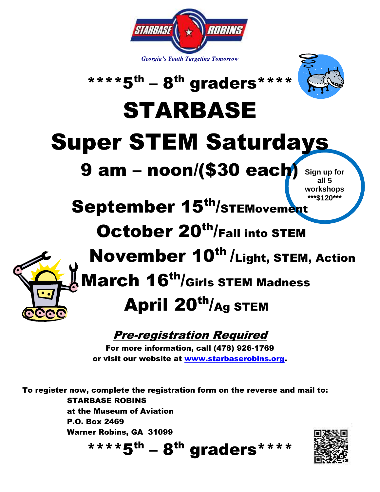



## \*\*\*\* $5^{th}$  – 8<sup>th</sup> graders\*\*\*\*

# STARBASE

# Super STEM Saturdays

## 9 am – noon/(\$30 each)

**Sign up for all 5 workshops \*\*\*\$120\*\*\***

## September 15<sup>th</sup>/STEMovement

### October 20<sup>th</sup>/Fall into STEM



## November 10<sup>th</sup> /Light, STEM, Action  $\,\,\rule{0.75cm}{.4ex}$  March 16<sup>th</sup>/Girls STEM Madness

## April 20<sup>th</sup>/Ag STEM

#### Pre-registration Required

For more information, call (478) 926-1769 or visit our website at [www.starbaserobins.org.](http://www.starbaserobins.org/)

To register now, complete the registration form on the reverse and mail to: STARBASE ROBINS at the Museum of Aviation P.O. Box 2469 Warner Robins, GA 31099

\*\*\*\* $5^{th}$  – 8<sup>th</sup> graders\*\*\*\*